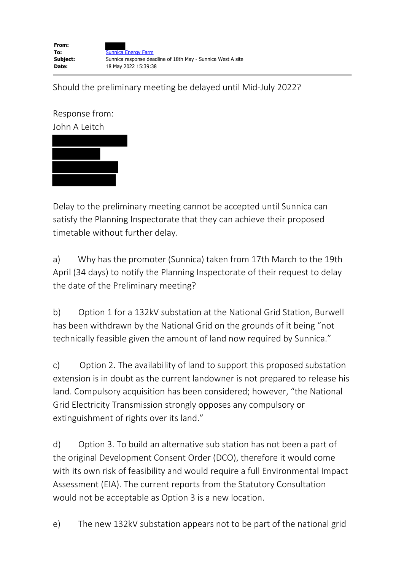Should the preliminary meeting be delayed until Mid-July 2022?

Response from: John A Leitch

Delay to the preliminary meeting cannot be accepted until Sunnica can satisfy the Planning Inspectorate that they can achieve their proposed timetable without further delay.

a) Why has the promoter (Sunnica) taken from 17th March to the 19th April (34 days) to notify the Planning Inspectorate of their request to delay the date of the Preliminary meeting?

b) Option 1 for a 132kV substation at the National Grid Station, Burwell has been withdrawn by the National Grid on the grounds of it being "not technically feasible given the amount of land now required by Sunnica."

c) Option 2. The availability of land to support this proposed substation extension is in doubt as the current landowner is not prepared to release his land. Compulsory acquisition has been considered; however, "the National Grid Electricity Transmission strongly opposes any compulsory or extinguishment of rights over its land."

d) Option 3. To build an alternative sub station has not been a part of the original Development Consent Order (DCO), therefore it would come with its own risk of feasibility and would require a full Environmental Impact Assessment (EIA). The current reports from the Statutory Consultation would not be acceptable as Option 3 is a new location.

e) The new 132kV substation appears not to be part of the national grid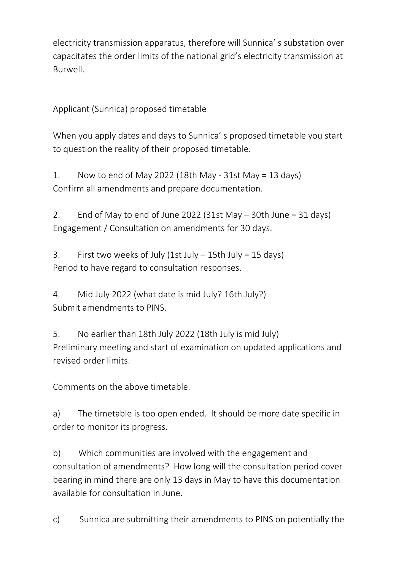electricity transmission apparatus, therefore will Sunnica' s substation over capacitates the order limits of the national grid's electricity transmission at Burwell.

Applicant (Sunnica) proposed timetable

When you apply dates and days to Sunnica' s proposed timetable you start to question the reality of their proposed timetable.

1. Now to end of May 2022 (18th May - 31st May = 13 days) Confirm all amendments and prepare documentation.

2. End of May to end of June 2022 (31st May  $-$  30th June = 31 days) Engagement / Consultation on amendments for 30 days.

3. First two weeks of July (1st July  $-$  15th July = 15 days) Period to have regard to consultation responses.

4. Mid July 2022 (what date is mid July? 16th July?) Submit amendments to PINS.

5. No earlier than 18th July 2022 (18th July is mid July) Preliminary meeting and start of examination on updated applications and revised order limits.

Comments on the above timetable.

a) The timetable is too open ended. It should be more date specific in order to monitor its progress.

b) Which communities are involved with the engagement and consultation of amendments? How long will the consultation period cover bearing in mind there are only 13 days in May to have this documentation available for consultation in June.

c) Sunnica are submitting their amendments to PINS on potentially the